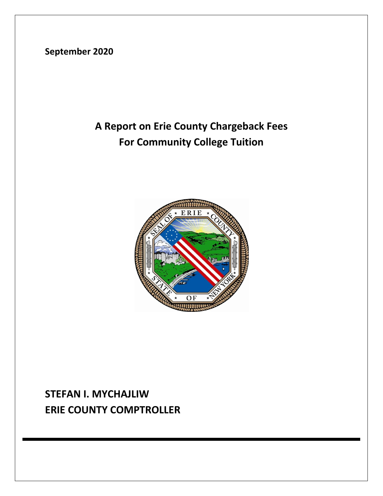**September 2020**

# **A Report on Erie County Chargeback Fees For Community College Tuition**



## **STEFAN I. MYCHAJLIW ERIE COUNTY COMPTROLLER**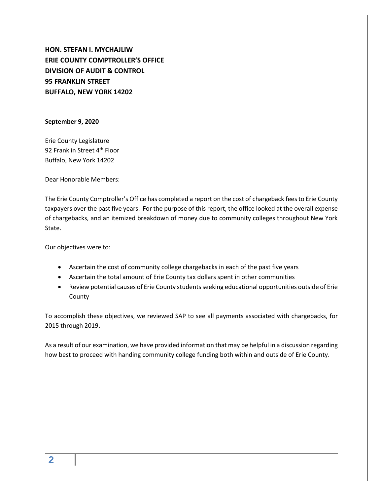**HON. STEFAN I. MYCHAJLIW ERIE COUNTY COMPTROLLER'S OFFICE DIVISION OF AUDIT & CONTROL 95 FRANKLIN STREET BUFFALO, NEW YORK 14202**

#### **September 9, 2020**

Erie County Legislature 92 Franklin Street 4<sup>th</sup> Floor Buffalo, New York 14202

Dear Honorable Members:

The Erie County Comptroller's Office has completed a report on the cost of chargeback fees to Erie County taxpayers over the past five years. For the purpose of this report, the office looked at the overall expense of chargebacks, and an itemized breakdown of money due to community colleges throughout New York State.

Our objectives were to:

- Ascertain the cost of community college chargebacks in each of the past five years
- Ascertain the total amount of Erie County tax dollars spent in other communities
- Review potential causes of Erie County students seeking educational opportunities outside of Erie County

To accomplish these objectives, we reviewed SAP to see all payments associated with chargebacks, for 2015 through 2019.

As a result of our examination, we have provided information that may be helpful in a discussion regarding how best to proceed with handing community college funding both within and outside of Erie County.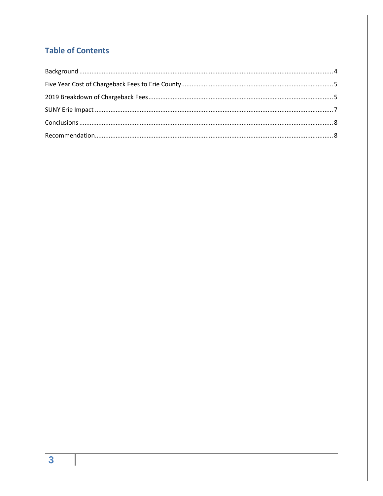### **Table of Contents**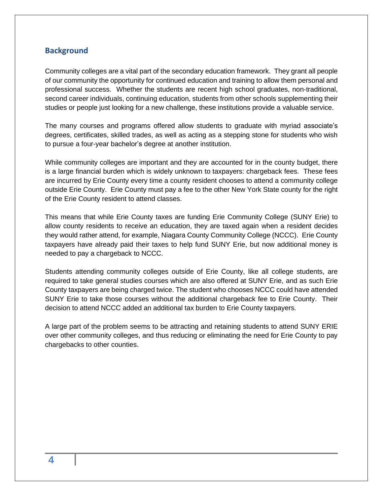#### <span id="page-3-0"></span>**Background**

Community colleges are a vital part of the secondary education framework. They grant all people of our community the opportunity for continued education and training to allow them personal and professional success. Whether the students are recent high school graduates, non-traditional, second career individuals, continuing education, students from other schools supplementing their studies or people just looking for a new challenge, these institutions provide a valuable service.

The many courses and programs offered allow students to graduate with myriad associate's degrees, certificates, skilled trades, as well as acting as a stepping stone for students who wish to pursue a four-year bachelor's degree at another institution.

While community colleges are important and they are accounted for in the county budget, there is a large financial burden which is widely unknown to taxpayers: chargeback fees. These fees are incurred by Erie County every time a county resident chooses to attend a community college outside Erie County. Erie County must pay a fee to the other New York State county for the right of the Erie County resident to attend classes.

This means that while Erie County taxes are funding Erie Community College (SUNY Erie) to allow county residents to receive an education, they are taxed again when a resident decides they would rather attend, for example, Niagara County Community College (NCCC). Erie County taxpayers have already paid their taxes to help fund SUNY Erie, but now additional money is needed to pay a chargeback to NCCC.

Students attending community colleges outside of Erie County, like all college students, are required to take general studies courses which are also offered at SUNY Erie, and as such Erie County taxpayers are being charged twice. The student who chooses NCCC could have attended SUNY Erie to take those courses without the additional chargeback fee to Erie County. Their decision to attend NCCC added an additional tax burden to Erie County taxpayers.

A large part of the problem seems to be attracting and retaining students to attend SUNY ERIE over other community colleges, and thus reducing or eliminating the need for Erie County to pay chargebacks to other counties.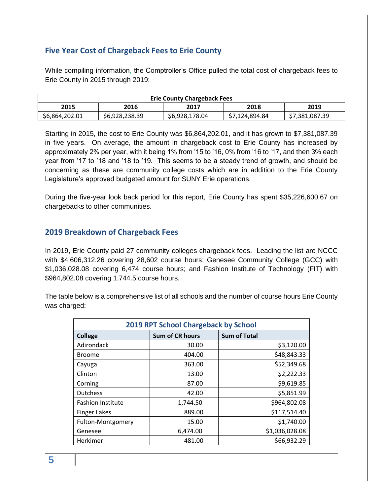### <span id="page-4-0"></span>**Five Year Cost of Chargeback Fees to Erie County**

While compiling information, the Comptroller's Office pulled the total cost of chargeback fees to Erie County in 2015 through 2019:

| <b>Erie County Chargeback Fees</b> |                |                |                |                |
|------------------------------------|----------------|----------------|----------------|----------------|
| 2015                               | 2016           | 2017           | 2018           | 2019           |
| \$6,864,202.01                     | \$6,928,238.39 | \$6,928,178.04 | \$7,124,894.84 | \$7,381,087.39 |

Starting in 2015, the cost to Erie County was \$6,864,202.01, and it has grown to \$7,381,087.39 in five years. On average, the amount in chargeback cost to Erie County has increased by approximately 2% per year, with it being 1% from '15 to '16, 0% from '16 to '17, and then 3% each year from '17 to '18 and '18 to '19. This seems to be a steady trend of growth, and should be concerning as these are community college costs which are in addition to the Erie County Legislature's approved budgeted amount for SUNY Erie operations.

During the five-year look back period for this report, Erie County has spent \$35,226,600.67 on chargebacks to other communities.

#### <span id="page-4-1"></span>**2019 Breakdown of Chargeback Fees**

In 2019, Erie County paid 27 community colleges chargeback fees. Leading the list are NCCC with \$4,606,312.26 covering 28,602 course hours; Genesee Community College (GCC) with \$1,036,028.08 covering 6,474 course hours; and Fashion Institute of Technology (FIT) with \$964,802.08 covering 1,744.5 course hours.

The table below is a comprehensive list of all schools and the number of course hours Erie County was charged:

| 2019 RPT School Chargeback by School |                        |                     |  |
|--------------------------------------|------------------------|---------------------|--|
| <b>College</b>                       | <b>Sum of CR hours</b> | <b>Sum of Total</b> |  |
| Adirondack                           | 30.00                  | \$3,120.00          |  |
| <b>Broome</b>                        | 404.00                 | \$48,843.33         |  |
| Cayuga                               | 363.00                 | \$52,349.68         |  |
| Clinton                              | 13.00                  | \$2,222.33          |  |
| Corning                              | 87.00                  | \$9,619.85          |  |
| <b>Dutchess</b>                      | 42.00                  | \$5,851.99          |  |
| <b>Fashion Institute</b>             | 1,744.50               | \$964,802.08        |  |
| <b>Finger Lakes</b>                  | 889.00                 | \$117,514.40        |  |
| Fulton-Montgomery                    | 15.00                  | \$1,740.00          |  |
| Genesee                              | 6,474.00               | \$1,036,028.08      |  |
| Herkimer                             | 481.00                 | \$66,932.29         |  |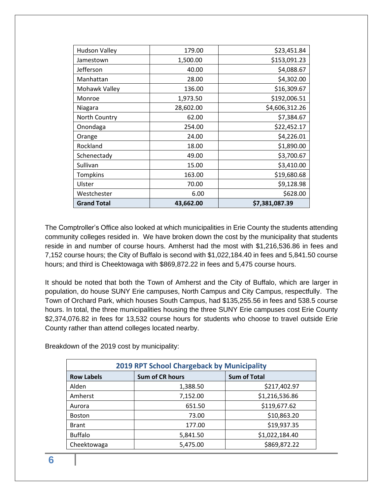| <b>Hudson Valley</b> | 179.00    | \$23,451.84    |
|----------------------|-----------|----------------|
| Jamestown            | 1,500.00  | \$153,091.23   |
| Jefferson            | 40.00     | \$4,088.67     |
| Manhattan            | 28.00     | \$4,302.00     |
| Mohawk Valley        | 136.00    | \$16,309.67    |
| Monroe               | 1,973.50  | \$192,006.51   |
| Niagara              | 28,602.00 | \$4,606,312.26 |
| <b>North Country</b> | 62.00     | \$7,384.67     |
| Onondaga             | 254.00    | \$22,452.17    |
| Orange               | 24.00     | \$4,226.01     |
| Rockland             | 18.00     | \$1,890.00     |
| Schenectady          | 49.00     | \$3,700.67     |
| Sullivan             | 15.00     | \$3,410.00     |
| Tompkins             | 163.00    | \$19,680.68    |
| Ulster               | 70.00     | \$9,128.98     |
| Westchester          | 6.00      | \$628.00       |
| <b>Grand Total</b>   | 43,662.00 | \$7,381,087.39 |

The Comptroller's Office also looked at which municipalities in Erie County the students attending community colleges resided in. We have broken down the cost by the municipality that students reside in and number of course hours. Amherst had the most with \$1,216,536.86 in fees and 7,152 course hours; the City of Buffalo is second with \$1,022,184.40 in fees and 5,841.50 course hours; and third is Cheektowaga with \$869,872.22 in fees and 5,475 course hours.

It should be noted that both the Town of Amherst and the City of Buffalo, which are larger in population, do house SUNY Erie campuses, North Campus and City Campus, respectfully. The Town of Orchard Park, which houses South Campus, had \$135,255.56 in fees and 538.5 course hours. In total, the three municipalities housing the three SUNY Erie campuses cost Erie County \$2,374,076.82 in fees for 13,532 course hours for students who choose to travel outside Erie County rather than attend colleges located nearby.

| <b>2019 RPT School Chargeback by Municipality</b> |                        |                     |  |
|---------------------------------------------------|------------------------|---------------------|--|
| <b>Row Labels</b>                                 | <b>Sum of CR hours</b> | <b>Sum of Total</b> |  |
| Alden                                             | 1,388.50               | \$217,402.97        |  |
| Amherst                                           | 7,152.00               | \$1,216,536.86      |  |
| Aurora                                            | 651.50                 | \$119,677.62        |  |
| <b>Boston</b>                                     | 73.00                  | \$10,863.20         |  |
| <b>Brant</b>                                      | 177.00                 | \$19,937.35         |  |
| <b>Buffalo</b>                                    | 5,841.50               | \$1,022,184.40      |  |
| Cheektowaga                                       | 5,475.00               | \$869,872.22        |  |

Breakdown of the 2019 cost by municipality: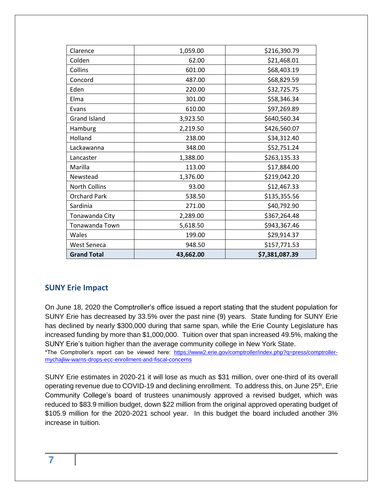| Clarence            | 1,059.00  | \$216,390.79   |
|---------------------|-----------|----------------|
| Colden              | 62.00     | \$21,468.01    |
| Collins             | 601.00    | \$68,403.19    |
| Concord             | 487.00    | \$68,829.59    |
| Eden                | 220.00    | \$32,725.75    |
| Elma                | 301.00    | \$58,346.34    |
| Evans               | 610.00    | \$97,269.89    |
| <b>Grand Island</b> | 3,923.50  | \$640,560.34   |
| Hamburg             | 2,219.50  | \$426,560.07   |
| Holland             | 238.00    | \$34,312.40    |
| Lackawanna          | 348.00    | \$52,751.24    |
| Lancaster           | 1,388.00  | \$263,135.33   |
| Marilla             | 113.00    | \$17,884.00    |
| Newstead            | 1,376.00  | \$219,042.20   |
| North Collins       | 93.00     | \$12,467.33    |
| <b>Orchard Park</b> | 538.50    | \$135,355.56   |
| Sardinia            | 271.00    | \$40,792.90    |
| Tonawanda City      | 2,289.00  | \$367,264.48   |
| Tonawanda Town      | 5,618.50  | \$943,367.46   |
| Wales               | 199.00    | \$29,914.37    |
| West Seneca         | 948.50    | \$157,771.53   |
| <b>Grand Total</b>  | 43,662.00 | \$7,381,087.39 |

#### <span id="page-6-0"></span>**SUNY Erie Impact**

On June 18, 2020 the Comptroller's office issued a report stating that the student population for SUNY Erie has decreased by 33.5% over the past nine (9) years. State funding for SUNY Erie has declined by nearly \$300,000 during that same span, while the Erie County Legislature has increased funding by more than \$1,000,000. Tuition over that span increased 49.5%, making the SUNY Erie's tuition higher than the average community college in New York State.

\*The Comptroller's report can be viewed here: [https://www2.erie.gov/comptroller/index.php?q=press/comptroller](https://www2.erie.gov/comptroller/index.php?q=press/comptroller-mychajliw-warns-drops-ecc-enrollment-and-fiscal-concerns)[mychajliw-warns-drops-ecc-enrollment-and-fiscal-concerns](https://www2.erie.gov/comptroller/index.php?q=press/comptroller-mychajliw-warns-drops-ecc-enrollment-and-fiscal-concerns)

SUNY Erie estimates in 2020-21 it will lose as much as \$31 million, over one-third of its overall operating revenue due to COVID-19 and declining enrollment. To address this, on June 25<sup>th</sup>, Erie Community College's board of trustees unanimously approved a revised budget, which was reduced to \$83.9 million budget, down \$22 million from the original approved operating budget of \$105.9 million for the 2020-2021 school year. In this budget the board included another 3% increase in tuition.

#### **7**